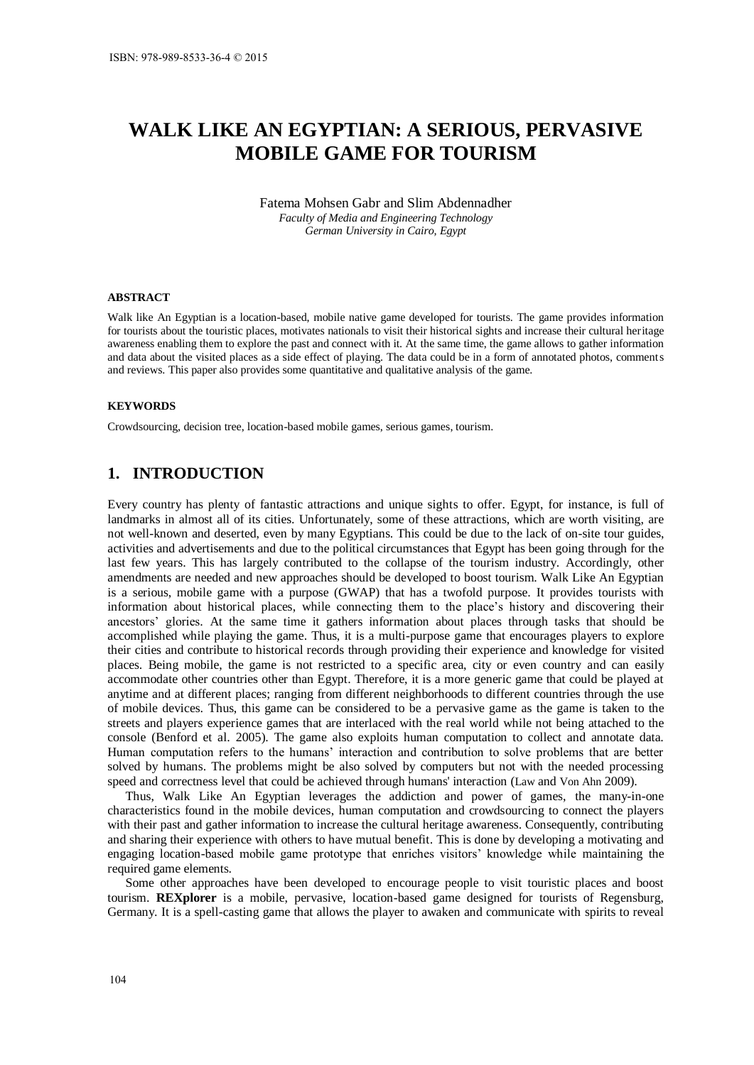# **WALK LIKE AN EGYPTIAN: A SERIOUS, PERVASIVE MOBILE GAME FOR TOURISM**

Fatema Mohsen Gabr and Slim Abdennadher *Faculty of Media and Engineering Technology German University in Cairo, Egypt* 

#### **ABSTRACT**

Walk like An Egyptian is a location-based, mobile native game developed for tourists. The game provides information for tourists about the touristic places, motivates nationals to visit their historical sights and increase their cultural heritage awareness enabling them to explore the past and connect with it. At the same time, the game allows to gather information and data about the visited places as a side effect of playing. The data could be in a form of annotated photos, comments and reviews. This paper also provides some quantitative and qualitative analysis of the game.

#### **KEYWORDS**

Crowdsourcing, decision tree, location-based mobile games, serious games, tourism.

# **1. INTRODUCTION**

Every country has plenty of fantastic attractions and unique sights to offer. Egypt, for instance, is full of landmarks in almost all of its cities. Unfortunately, some of these attractions, which are worth visiting, are not well-known and deserted, even by many Egyptians. This could be due to the lack of on-site tour guides, activities and advertisements and due to the political circumstances that Egypt has been going through for the last few years. This has largely contributed to the collapse of the tourism industry. Accordingly, other amendments are needed and new approaches should be developed to boost tourism. Walk Like An Egyptian is a serious, mobile game with a purpose (GWAP) that has a twofold purpose. It provides tourists with information about historical places, while connecting them to the place's history and discovering their ancestors' glories. At the same time it gathers information about places through tasks that should be accomplished while playing the game. Thus, it is a multi-purpose game that encourages players to explore their cities and contribute to historical records through providing their experience and knowledge for visited places. Being mobile, the game is not restricted to a specific area, city or even country and can easily accommodate other countries other than Egypt. Therefore, it is a more generic game that could be played at anytime and at different places; ranging from different neighborhoods to different countries through the use of mobile devices. Thus, this game can be considered to be a pervasive game as the game is taken to the streets and players experience games that are interlaced with the real world while not being attached to the console (Benford et al. 2005). The game also exploits human computation to collect and annotate data. Human computation refers to the humans' interaction and contribution to solve problems that are better solved by humans. The problems might be also solved by computers but not with the needed processing speed and correctness level that could be achieved through humans' interaction (Law and Von Ahn 2009).

Thus, Walk Like An Egyptian leverages the addiction and power of games, the many-in-one characteristics found in the mobile devices, human computation and crowdsourcing to connect the players with their past and gather information to increase the cultural heritage awareness. Consequently, contributing and sharing their experience with others to have mutual benefit. This is done by developing a motivating and engaging location-based mobile game prototype that enriches visitors' knowledge while maintaining the required game elements.

Some other approaches have been developed to encourage people to visit touristic places and boost tourism. **REXplorer** is a mobile, pervasive, location-based game designed for tourists of Regensburg, Germany. It is a spell-casting game that allows the player to awaken and communicate with spirits to reveal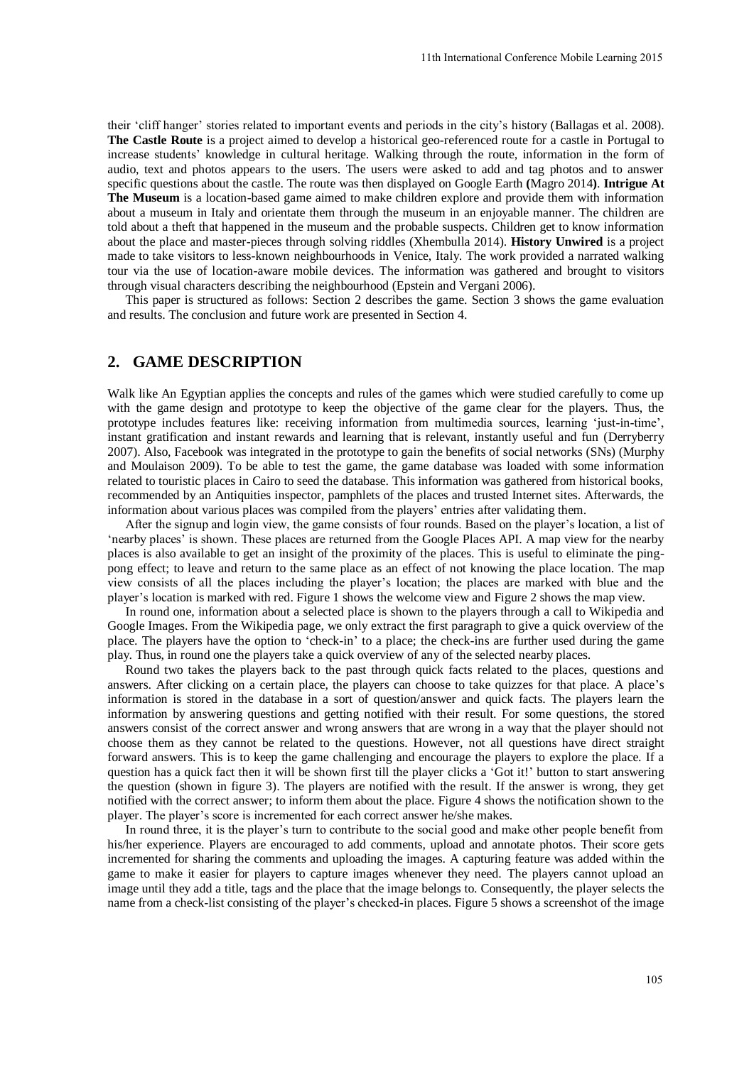their 'cliff hanger' stories related to important events and periods in the city's history (Ballagas et al. 2008). **The Castle Route** is a project aimed to develop a historical geo-referenced route for a castle in Portugal to increase students' knowledge in cultural heritage. Walking through the route, information in the form of audio, text and photos appears to the users. The users were asked to add and tag photos and to answer specific questions about the castle. The route was then displayed on Google Earth **(**Magro 2014**)**. **Intrigue At The Museum** is a location-based game aimed to make children explore and provide them with information about a museum in Italy and orientate them through the museum in an enjoyable manner. The children are told about a theft that happened in the museum and the probable suspects. Children get to know information about the place and master-pieces through solving riddles (Xhembulla 2014). **History Unwired** is a project made to take visitors to less-known neighbourhoods in Venice, Italy. The work provided a narrated walking tour via the use of location-aware mobile devices. The information was gathered and brought to visitors through visual characters describing the neighbourhood (Epstein and Vergani 2006).

This paper is structured as follows: Section 2 describes the game. Section 3 shows the game evaluation and results. The conclusion and future work are presented in Section 4.

#### **2. GAME DESCRIPTION**

Walk like An Egyptian applies the concepts and rules of the games which were studied carefully to come up with the game design and prototype to keep the objective of the game clear for the players. Thus, the prototype includes features like: receiving information from multimedia sources, learning 'just-in-time', instant gratification and instant rewards and learning that is relevant, instantly useful and fun (Derryberry 2007). Also, Facebook was integrated in the prototype to gain the benefits of social networks (SNs) (Murphy and Moulaison 2009). To be able to test the game, the game database was loaded with some information related to touristic places in Cairo to seed the database. This information was gathered from historical books, recommended by an Antiquities inspector, pamphlets of the places and trusted Internet sites. Afterwards, the information about various places was compiled from the players' entries after validating them.

After the signup and login view, the game consists of four rounds. Based on the player's location, a list of 'nearby places' is shown. These places are returned from the Google Places API. A map view for the nearby places is also available to get an insight of the proximity of the places. This is useful to eliminate the pingpong effect; to leave and return to the same place as an effect of not knowing the place location. The map view consists of all the places including the player's location; the places are marked with blue and the player's location is marked with red. Figure 1 shows the welcome view and Figure 2 shows the map view.

In round one, information about a selected place is shown to the players through a call to Wikipedia and Google Images. From the Wikipedia page, we only extract the first paragraph to give a quick overview of the place. The players have the option to 'check-in' to a place; the check-ins are further used during the game play. Thus, in round one the players take a quick overview of any of the selected nearby places.

Round two takes the players back to the past through quick facts related to the places, questions and answers. After clicking on a certain place, the players can choose to take quizzes for that place. A place's information is stored in the database in a sort of question/answer and quick facts. The players learn the information by answering questions and getting notified with their result. For some questions, the stored answers consist of the correct answer and wrong answers that are wrong in a way that the player should not choose them as they cannot be related to the questions. However, not all questions have direct straight forward answers. This is to keep the game challenging and encourage the players to explore the place. If a question has a quick fact then it will be shown first till the player clicks a 'Got it!' button to start answering the question (shown in figure 3). The players are notified with the result. If the answer is wrong, they get notified with the correct answer; to inform them about the place. Figure 4 shows the notification shown to the player. The player's score is incremented for each correct answer he/she makes.

In round three, it is the player's turn to contribute to the social good and make other people benefit from his/her experience. Players are encouraged to add comments, upload and annotate photos. Their score gets incremented for sharing the comments and uploading the images. A capturing feature was added within the game to make it easier for players to capture images whenever they need. The players cannot upload an image until they add a title, tags and the place that the image belongs to. Consequently, the player selects the name from a check-list consisting of the player's checked-in places. Figure 5 shows a screenshot of the image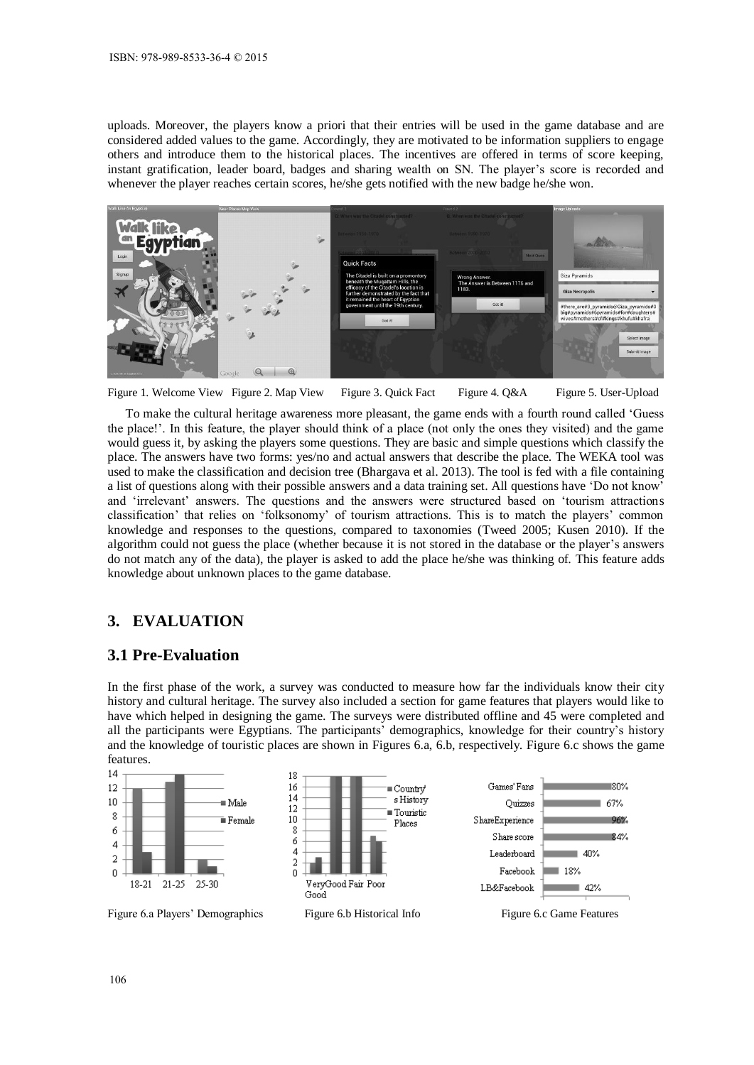uploads. Moreover, the players know a priori that their entries will be used in the game database and are considered added values to the game. Accordingly, they are motivated to be information suppliers to engage others and introduce them to the historical places. The incentives are offered in terms of score keeping, instant gratification, leader board, badges and sharing wealth on SN. The player's score is recorded and whenever the player reaches certain scores, he/she gets notified with the new badge he/she won.



Figure 1. Welcome View Figure 2. Map View Figure 3. Quick Fact Figure 4. Q&A Figure 5. User-Upload

To make the cultural heritage awareness more pleasant, the game ends with a fourth round called 'Guess the place!'. In this feature, the player should think of a place (not only the ones they visited) and the game would guess it, by asking the players some questions. They are basic and simple questions which classify the place. The answers have two forms: yes/no and actual answers that describe the place. The WEKA tool was used to make the classification and decision tree (Bhargava et al. 2013). The tool is fed with a file containing a list of questions along with their possible answers and a data training set. All questions have 'Do not know' and 'irrelevant' answers. The questions and the answers were structured based on 'tourism attractions classification' that relies on 'folksonomy' of tourism attractions. This is to match the players' common knowledge and responses to the questions, compared to taxonomies (Tweed 2005; Kusen 2010). If the algorithm could not guess the place (whether because it is not stored in the database or the player's answers do not match any of the data), the player is asked to add the place he/she was thinking of. This feature adds knowledge about unknown places to the game database.

## **3. EVALUATION**

#### **3.1 Pre-Evaluation**

In the first phase of the work, a survey was conducted to measure how far the individuals know their city history and cultural heritage. The survey also included a section for game features that players would like to have which helped in designing the game. The surveys were distributed offline and 45 were completed and all the participants were Egyptians. The participants' demographics, knowledge for their country's history and the knowledge of touristic places are shown in Figures 6.a, 6.b, respectively. Figure 6.c shows the game features.

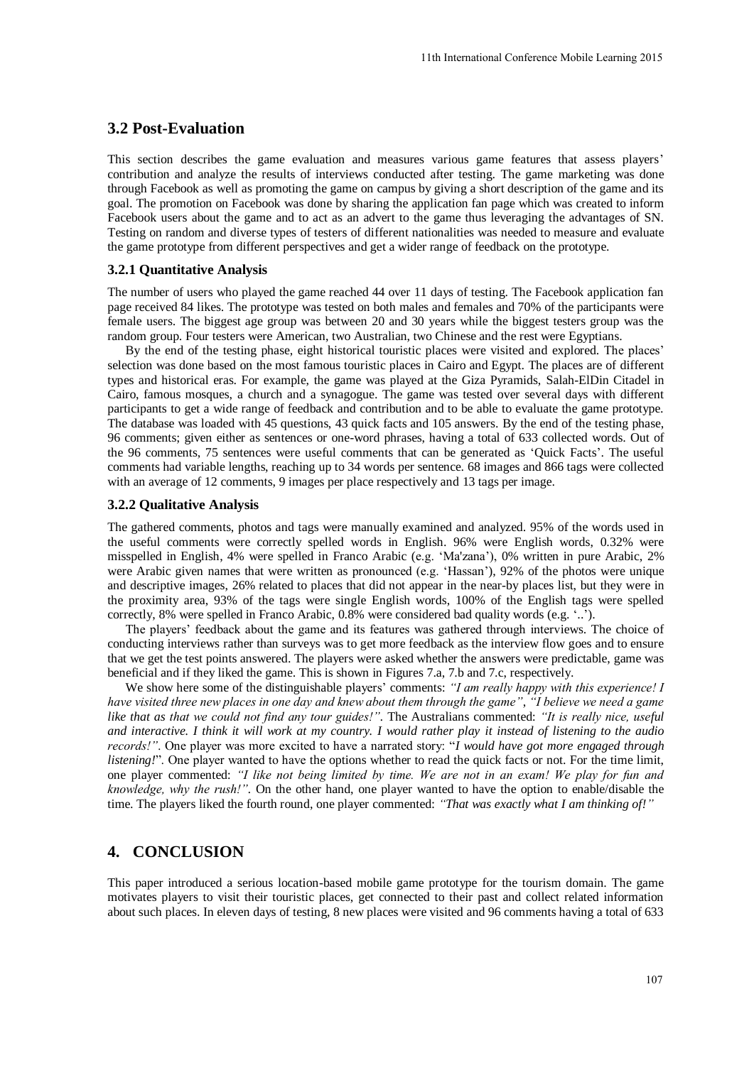### **3.2 Post-Evaluation**

This section describes the game evaluation and measures various game features that assess players' contribution and analyze the results of interviews conducted after testing. The game marketing was done through Facebook as well as promoting the game on campus by giving a short description of the game and its goal. The promotion on Facebook was done by sharing the application fan page which was created to inform Facebook users about the game and to act as an advert to the game thus leveraging the advantages of SN. Testing on random and diverse types of testers of different nationalities was needed to measure and evaluate the game prototype from different perspectives and get a wider range of feedback on the prototype.

#### **3.2.1 Quantitative Analysis**

The number of users who played the game reached 44 over 11 days of testing. The Facebook application fan page received 84 likes. The prototype was tested on both males and females and 70% of the participants were female users. The biggest age group was between 20 and 30 years while the biggest testers group was the random group. Four testers were American, two Australian, two Chinese and the rest were Egyptians.

By the end of the testing phase, eight historical touristic places were visited and explored. The places' selection was done based on the most famous touristic places in Cairo and Egypt. The places are of different types and historical eras. For example, the game was played at the Giza Pyramids, Salah-ElDin Citadel in Cairo, famous mosques, a church and a synagogue. The game was tested over several days with different participants to get a wide range of feedback and contribution and to be able to evaluate the game prototype. The database was loaded with 45 questions, 43 quick facts and 105 answers. By the end of the testing phase, 96 comments; given either as sentences or one-word phrases, having a total of 633 collected words. Out of the 96 comments, 75 sentences were useful comments that can be generated as 'Quick Facts'. The useful comments had variable lengths, reaching up to 34 words per sentence. 68 images and 866 tags were collected with an average of 12 comments, 9 images per place respectively and 13 tags per image.

#### **3.2.2 Qualitative Analysis**

The gathered comments, photos and tags were manually examined and analyzed. 95% of the words used in the useful comments were correctly spelled words in English. 96% were English words, 0.32% were misspelled in English, 4% were spelled in Franco Arabic (e.g. 'Ma'zana'), 0% written in pure Arabic, 2% were Arabic given names that were written as pronounced (e.g. 'Hassan'), 92% of the photos were unique and descriptive images, 26% related to places that did not appear in the near-by places list, but they were in the proximity area, 93% of the tags were single English words, 100% of the English tags were spelled correctly, 8% were spelled in Franco Arabic, 0.8% were considered bad quality words (e.g. '..').

The players' feedback about the game and its features was gathered through interviews. The choice of conducting interviews rather than surveys was to get more feedback as the interview flow goes and to ensure that we get the test points answered. The players were asked whether the answers were predictable, game was beneficial and if they liked the game. This is shown in Figures 7.a, 7.b and 7.c, respectively.

We show here some of the distinguishable players' comments: *"I am really happy with this experience! I have visited three new places in one day and knew about them through the game"*, *"I believe we need a game like that as that we could not find any tour guides!".* The Australians commented: *"It is really nice, useful and interactive. I think it will work at my country. I would rather play it instead of listening to the audio records!"*. One player was more excited to have a narrated story: "*I would have got more engaged through listening!*". One player wanted to have the options whether to read the quick facts or not. For the time limit, one player commented: *"I like not being limited by time. We are not in an exam! We play for fun and knowledge, why the rush!".* On the other hand, one player wanted to have the option to enable/disable the time. The players liked the fourth round, one player commented: *"That was exactly what I am thinking of!"*

## **4. CONCLUSION**

This paper introduced a serious location-based mobile game prototype for the tourism domain. The game motivates players to visit their touristic places, get connected to their past and collect related information about such places. In eleven days of testing, 8 new places were visited and 96 comments having a total of 633